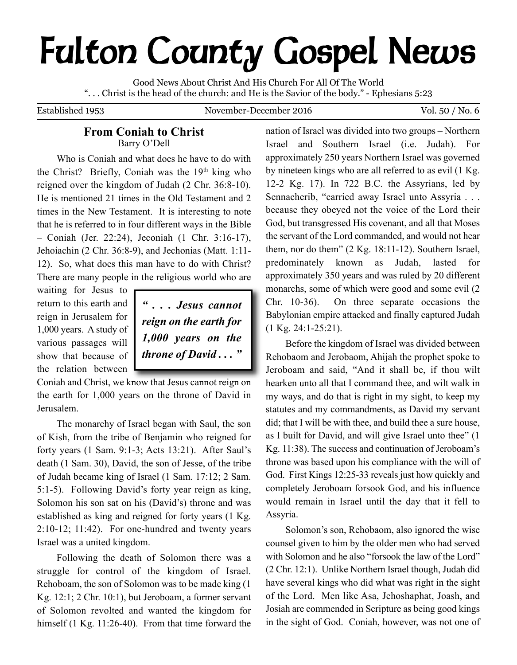# **Fulton County Gospel News**

Good News About Christ And His Church For All Of The World ". . . Christ is the head of the church: and He is the Savior of the body." - Ephesians 5:23

Established 1953 November-December 2016 Vol. 50 / No. 6

## **From Coniah to Christ** Barry O'Dell

Who is Coniah and what does he have to do with the Christ? Briefly, Coniah was the 19th king who reigned over the kingdom of Judah (2 Chr. 36:8-10). He is mentioned 21 times in the Old Testament and 2 times in the New Testament. It is interesting to note that he is referred to in four different ways in the Bible – Coniah (Jer. 22:24), Jeconiah (1 Chr. 3:16-17), Jehoiachin (2 Chr. 36:8-9), and Jechonias (Matt. 1:11- 12). So, what does this man have to do with Christ? There are many people in the religious world who are

waiting for Jesus to return to this earth and reign in Jerusalem for 1,000 years. A study of various passages will show that because of the relation between

*" . . . Jesus cannot reign on the earth for 1,000 years on the throne of David . . . "*

Coniah and Christ, we know that Jesus cannot reign on the earth for 1,000 years on the throne of David in Jerusalem.

The monarchy of Israel began with Saul, the son of Kish, from the tribe of Benjamin who reigned for forty years (1 Sam. 9:1-3; Acts 13:21). After Saul's death (1 Sam. 30), David, the son of Jesse, of the tribe of Judah became king of Israel (1 Sam. 17:12; 2 Sam. 5:1-5). Following David's forty year reign as king, Solomon his son sat on his (David's) throne and was established as king and reigned for forty years (1 Kg.  $2:10-12$ ;  $11:42$ ). For one-hundred and twenty years Israel was a united kingdom.

Following the death of Solomon there was a struggle for control of the kingdom of Israel. Rehoboam, the son of Solomon was to be made king (1 Kg. 12:1; 2 Chr. 10:1), but Jeroboam, a former servant of Solomon revolted and wanted the kingdom for himself (1 Kg. 11:26-40). From that time forward the nation of Israel was divided into two groups – Northern Israel and Southern Israel (i.e. Judah). For approximately 250 years Northern Israel was governed by nineteen kings who are all referred to as evil (1 Kg. 12-2 Kg. 17). In 722 B.C. the Assyrians, led by Sennacherib, "carried away Israel unto Assyria . . . because they obeyed not the voice of the Lord their God, but transgressed His covenant, and all that Moses the servant of the Lord commanded, and would not hear them, nor do them" (2 Kg. 18:11-12). Southern Israel, predominately known as Judah, lasted for approximately 350 years and was ruled by 20 different monarchs, some of which were good and some evil (2 Chr. 10-36). On three separate occasions the Babylonian empire attacked and finally captured Judah (1 Kg. 24:1-25:21).

Before the kingdom of Israel was divided between Rehobaom and Jerobaom, Ahijah the prophet spoke to Jeroboam and said, "And it shall be, if thou wilt hearken unto all that I command thee, and wilt walk in my ways, and do that is right in my sight, to keep my statutes and my commandments, as David my servant did; that I will be with thee, and build thee a sure house, as I built for David, and will give Israel unto thee" (1 Kg. 11:38). The success and continuation of Jeroboam's throne was based upon his compliance with the will of God. First Kings 12:25-33 reveals just how quickly and completely Jeroboam forsook God, and his influence would remain in Israel until the day that it fell to Assyria.

Solomon's son, Rehobaom, also ignored the wise counsel given to him by the older men who had served with Solomon and he also "forsook the law of the Lord" (2 Chr. 12:1). Unlike Northern Israel though, Judah did have several kings who did what was right in the sight of the Lord. Men like Asa, Jehoshaphat, Joash, and Josiah are commended in Scripture as being good kings in the sight of God. Coniah, however, was not one of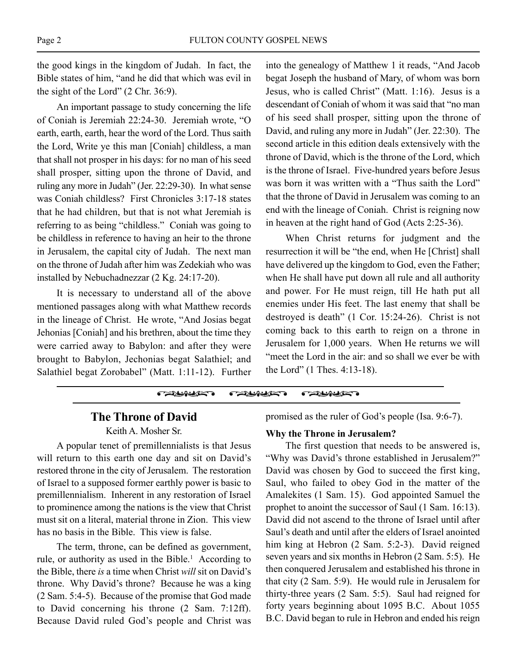the good kings in the kingdom of Judah. In fact, the Bible states of him, "and he did that which was evil in the sight of the Lord" (2 Chr. 36:9).

An important passage to study concerning the life of Coniah is Jeremiah 22:24-30. Jeremiah wrote, "O earth, earth, earth, hear the word of the Lord. Thus saith the Lord, Write ye this man [Coniah] childless, a man that shall not prosper in his days: for no man of his seed shall prosper, sitting upon the throne of David, and ruling any more in Judah" (Jer. 22:29-30). In what sense was Coniah childless? First Chronicles 3:17-18 states that he had children, but that is not what Jeremiah is referring to as being "childless." Coniah was going to be childless in reference to having an heir to the throne in Jerusalem, the capital city of Judah. The next man on the throne of Judah after him was Zedekiah who was installed by Nebuchadnezzar (2 Kg. 24:17-20).

It is necessary to understand all of the above mentioned passages along with what Matthew records in the lineage of Christ. He wrote, "And Josias begat Jehonias [Coniah] and his brethren, about the time they were carried away to Babylon: and after they were brought to Babylon, Jechonias begat Salathiel; and Salathiel begat Zorobabel" (Matt. 1:11-12). Further

into the genealogy of Matthew 1 it reads, "And Jacob begat Joseph the husband of Mary, of whom was born Jesus, who is called Christ" (Matt. 1:16). Jesus is a descendant of Coniah of whom it was said that "no man of his seed shall prosper, sitting upon the throne of David, and ruling any more in Judah" (Jer. 22:30). The second article in this edition deals extensively with the throne of David, which is the throne of the Lord, which is the throne of Israel. Five-hundred years before Jesus was born it was written with a "Thus saith the Lord" that the throne of David in Jerusalem was coming to an end with the lineage of Coniah. Christ is reigning now in heaven at the right hand of God (Acts 2:25-36).

When Christ returns for judgment and the resurrection it will be "the end, when He [Christ] shall have delivered up the kingdom to God, even the Father; when He shall have put down all rule and all authority and power. For He must reign, till He hath put all enemies under His feet. The last enemy that shall be destroyed is death" (1 Cor. 15:24-26). Christ is not coming back to this earth to reign on a throne in Jerusalem for 1,000 years. When He returns we will "meet the Lord in the air: and so shall we ever be with the Lord" (1 Thes. 4:13-18).



## **The Throne of David**

Keith A. Mosher Sr.

A popular tenet of premillennialists is that Jesus will return to this earth one day and sit on David's restored throne in the city of Jerusalem. The restoration of Israel to a supposed former earthly power is basic to premillennialism. Inherent in any restoration of Israel to prominence among the nations is the view that Christ must sit on a literal, material throne in Zion. This view has no basis in the Bible. This view is false.

The term, throne, can be defined as government, rule, or authority as used in the Bible. <sup>1</sup> According to the Bible, there *is* a time when Christ *will* sit on David's throne. Why David's throne? Because he was a king (2 Sam. 5:4-5). Because of the promise that God made to David concerning his throne (2 Sam. 7:12ff). Because David ruled God's people and Christ was

promised as the ruler of God's people (Isa. 9:6-7).

### **Why the Throne in Jerusalem?**

The first question that needs to be answered is, "Why was David's throne established in Jerusalem?" David was chosen by God to succeed the first king, Saul, who failed to obey God in the matter of the Amalekites (1 Sam. 15). God appointed Samuel the prophet to anoint the successor of Saul (1 Sam. 16:13). David did not ascend to the throne of Israel until after Saul's death and until after the elders of Israel anointed him king at Hebron (2 Sam. 5:2-3). David reigned seven years and six months in Hebron (2 Sam. 5:5). He then conquered Jerusalem and established his throne in that city (2 Sam. 5:9). He would rule in Jerusalem for thirty-three years (2 Sam. 5:5). Saul had reigned for forty years beginning about 1095 B.C. About 1055 B.C. David began to rule in Hebron and ended his reign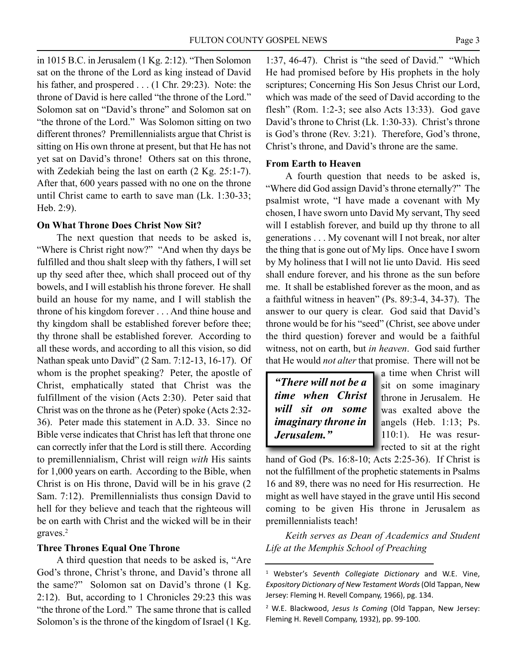in 1015 B.C. in Jerusalem (1 Kg. 2:12). "Then Solomon sat on the throne of the Lord as king instead of David his father, and prospered . . . (1 Chr. 29:23). Note: the throne of David is here called "the throne of the Lord." Solomon sat on "David's throne" and Solomon sat on "the throne of the Lord." Was Solomon sitting on two different thrones? Premillennialists argue that Christ is sitting on His own throne at present, but that He has not yet sat on David's throne! Others sat on this throne, with Zedekiah being the last on earth (2 Kg. 25:1-7). After that, 600 years passed with no one on the throne until Christ came to earth to save man (Lk. 1:30-33; Heb. 2:9).

## **On What Throne Does Christ Now Sit?**

The next question that needs to be asked is, "Where is Christ right now?" "And when thy days be fulfilled and thou shalt sleep with thy fathers, I will set up thy seed after thee, which shall proceed out of thy bowels, and I will establish his throne forever. He shall build an house for my name, and I will stablish the throne of his kingdom forever . . . And thine house and thy kingdom shall be established forever before thee; thy throne shall be established forever. According to all these words, and according to all this vision, so did Nathan speak unto David" (2 Sam. 7:12-13, 16-17). Of whom is the prophet speaking? Peter, the apostle of Christ, emphatically stated that Christ was the fulfillment of the vision (Acts 2:30). Peter said that Christ was on the throne as he (Peter) spoke (Acts 2:32- 36). Peter made this statement in A.D. 33. Since no Bible verse indicates that Christ has left that throne one can correctly infer that the Lord is still there. According to premillennialism, Christ will reign *with* His saints for 1,000 years on earth. According to the Bible, when Christ is on His throne, David will be in his grave (2 Sam. 7:12). Premillennialists thus consign David to hell for they believe and teach that the righteous will be on earth with Christ and the wicked will be in their graves. 2

## **Three Thrones Equal One Throne**

A third question that needs to be asked is, "Are God's throne, Christ's throne, and David's throne all the same?" Solomon sat on David's throne (1 Kg. 2:12). But, according to 1 Chronicles 29:23 this was "the throne of the Lord." The same throne that is called Solomon's is the throne of the kingdom of Israel (1 Kg.

1:37, 46-47). Christ is "the seed of David." "Which He had promised before by His prophets in the holy scriptures; Concerning His Son Jesus Christ our Lord, which was made of the seed of David according to the flesh" (Rom. 1:2-3; see also Acts 13:33). God gave David's throne to Christ (Lk. 1:30-33). Christ's throne is God's throne (Rev. 3:21). Therefore, God's throne, Christ's throne, and David's throne are the same.

## **From Earth to Heaven**

A fourth question that needs to be asked is, "Where did God assign David's throne eternally?" The psalmist wrote, "I have made a covenant with My chosen, I have sworn unto David My servant, Thy seed will I establish forever, and build up thy throne to all generations . . . My covenant will I not break, nor alter the thing that is gone out of My lips. Once have I sworn by My holiness that I will not lie unto David. His seed shall endure forever, and his throne as the sun before me. It shall be established forever as the moon, and as a faithful witness in heaven" (Ps. 89:3-4, 34-37). The answer to our query is clear. God said that David's throne would be for his "seed" (Christ, see above under the third question) forever and would be a faithful witness, not on earth, but *in heaven*. God said further that He would *not alter* that promise. There will not be

| "There will not be a |  |  |                            |  |
|----------------------|--|--|----------------------------|--|
|                      |  |  | time when Christ           |  |
|                      |  |  | will sit on some           |  |
|                      |  |  | <i>imaginary throne in</i> |  |
| Jerusalem."          |  |  |                            |  |

a time when Christ will sit on some imaginary throne in Jerusalem. He was exalted above the angels (Heb. 1:13; Ps. 110:1). He was resurrected to sit at the right

hand of God (Ps. 16:8-10; Acts 2:25-36). If Christ is not the fulfillment of the prophetic statements in Psalms 16 and 89, there was no need for His resurrection. He might as well have stayed in the grave until His second coming to be given His throne in Jerusalem as premillennialists teach!

*Keith serves as Dean of Academics and Student Life at the Memphis School of Preaching*

<sup>1</sup> Webster's *Seventh Collegiate Dictionary* and W.E. Vine, *Expository Dictionary of New Testament Words*(Old Tappan, New Jersey: Fleming H. Revell Company, 1966), pg. 134.

<sup>2</sup> W.E. Blackwood, *Jesus Is Coming* (Old Tappan, New Jersey: Fleming H. Revell Company, 1932), pp. 99-100.